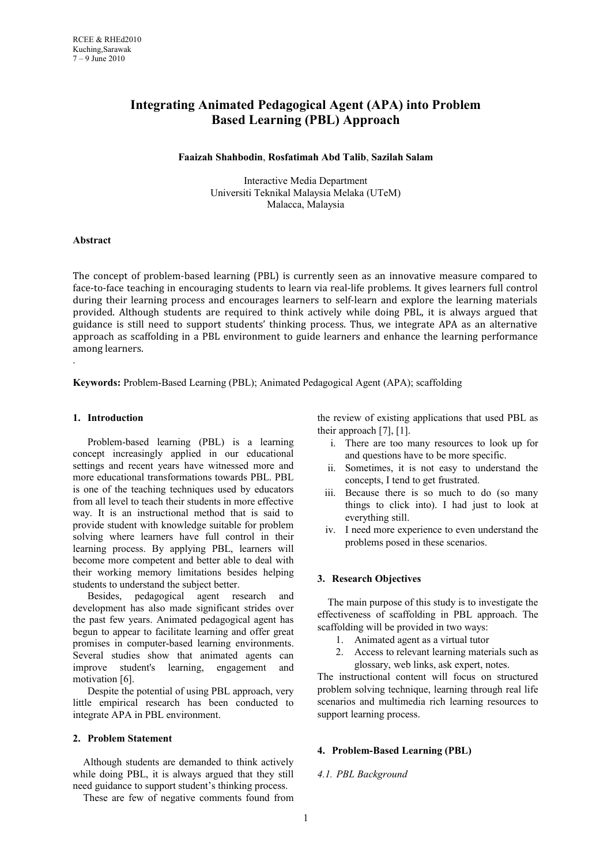# **Integrating Animated Pedagogical Agent (APA) into Problem Based Learning (PBL) Approach**

#### **Faaizah Shahbodin**, **Rosfatimah Abd Talib**, **Sazilah Salam**

Interactive Media Department Universiti Teknikal Malaysia Melaka (UTeM) Malacca, Malaysia

## **Abstract**

.

The concept of problem-based learning (PBL) is currently seen as an innovative measure compared to face-to-face teaching in encouraging students to learn via real-life problems. It gives learners full control during their learning process and encourages learners to self-learn and explore the learning materials provided. Although students are required to think actively while doing PBL, it is always argued that guidance is still need to support students' thinking process. Thus, we integrate APA as an alternative approach as scaffolding in a PBL environment to guide learners and enhance the learning performance among learners.

**Keywords:** Problem-Based Learning (PBL); Animated Pedagogical Agent (APA); scaffolding

#### **1. Introduction**

Problem-based learning (PBL) is a learning concept increasingly applied in our educational settings and recent years have witnessed more and more educational transformations towards PBL. PBL is one of the teaching techniques used by educators from all level to teach their students in more effective way. It is an instructional method that is said to provide student with knowledge suitable for problem solving where learners have full control in their learning process. By applying PBL, learners will become more competent and better able to deal with their working memory limitations besides helping students to understand the subject better.

Besides, pedagogical agent research and development has also made significant strides over the past few years. Animated pedagogical agent has begun to appear to facilitate learning and offer great promises in computer-based learning environments. Several studies show that animated agents can improve student's learning, engagement and motivation [6].

Despite the potential of using PBL approach, very little empirical research has been conducted to integrate APA in PBL environment.

#### **2. Problem Statement**

Although students are demanded to think actively while doing PBL, it is always argued that they still need guidance to support student's thinking process.

These are few of negative comments found from

the review of existing applications that used PBL as their approach  $[7]$ ,  $[1]$ .

- i. There are too many resources to look up for and questions have to be more specific.
- ii. Sometimes, it is not easy to understand the concepts, I tend to get frustrated.
- iii. Because there is so much to do (so many things to click into). I had just to look at everything still.
- iv. I need more experience to even understand the problems posed in these scenarios.

## **3. Research Objectives**

The main purpose of this study is to investigate the effectiveness of scaffolding in PBL approach. The scaffolding will be provided in two ways:

- 1. Animated agent as a virtual tutor
- 2. Access to relevant learning materials such as glossary, web links, ask expert, notes.

The instructional content will focus on structured problem solving technique, learning through real life scenarios and multimedia rich learning resources to support learning process.

## **4. Problem-Based Learning (PBL)**

#### *4.1. PBL Background*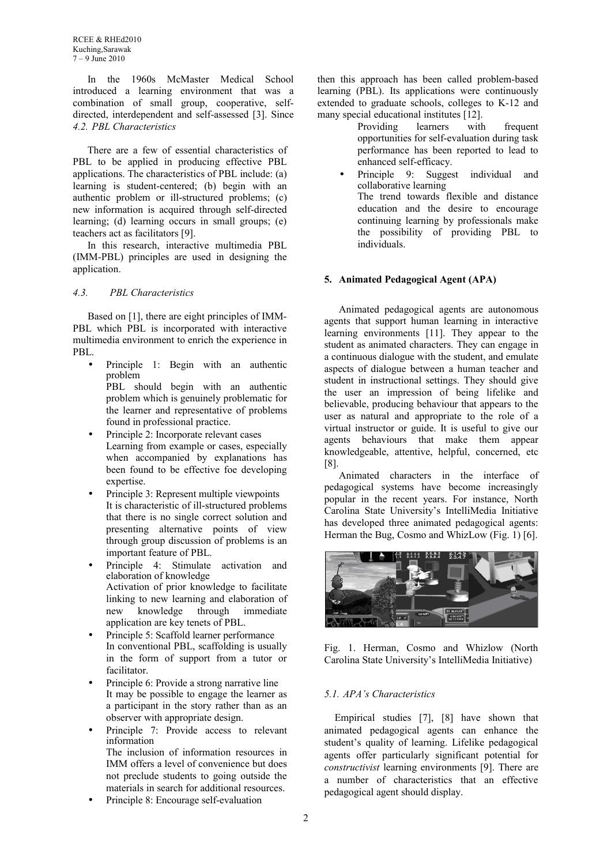In the 1960s McMaster Medical School introduced a learning environment that was a combination of small group, cooperative, selfdirected, interdependent and self-assessed [3]. Since *4.2. PBL Characteristics*

There are a few of essential characteristics of PBL to be applied in producing effective PBL applications. The characteristics of PBL include: (a) learning is student-centered; (b) begin with an authentic problem or ill-structured problems; (c) new information is acquired through self-directed learning; (d) learning occurs in small groups; (e) teachers act as facilitators [9].

In this research, interactive multimedia PBL (IMM-PBL) principles are used in designing the application.

#### *4.3. PBL Characteristics*

Based on [1], there are eight principles of IMM-PBL which PBL is incorporated with interactive multimedia environment to enrich the experience in PBL.

- Principle 1: Begin with an authentic problem PBL should begin with an authentic problem which is genuinely problematic for the learner and representative of problems found in professional practice.
- Principle 2: Incorporate relevant cases Learning from example or cases, especially when accompanied by explanations has been found to be effective foe developing expertise
- Principle 3: Represent multiple viewpoints It is characteristic of ill-structured problems that there is no single correct solution and presenting alternative points of view through group discussion of problems is an important feature of PBL.
- Principle 4: Stimulate activation and elaboration of knowledge Activation of prior knowledge to facilitate linking to new learning and elaboration of new knowledge through immediate application are key tenets of PBL.
- Principle 5: Scaffold learner performance In conventional PBL, scaffolding is usually in the form of support from a tutor or facilitator.
- Principle 6: Provide a strong narrative line It may be possible to engage the learner as a participant in the story rather than as an observer with appropriate design.
- Principle 7: Provide access to relevant information The inclusion of information resources in IMM offers a level of convenience but does not preclude students to going outside the materials in search for additional resources.
- Principle 8: Encourage self-evaluation

then this approach has been called problem-based learning (PBL). Its applications were continuously extended to graduate schools, colleges to K-12 and many special educational institutes [12].

> Providing learners with frequent opportunities for self-evaluation during task performance has been reported to lead to enhanced self-efficacy.

• Principle 9: Suggest individual and collaborative learning The trend towards flexible and distance education and the desire to encourage continuing learning by professionals make the possibility of providing PBL to individuals.

## **5. Animated Pedagogical Agent (APA)**

Animated pedagogical agents are autonomous agents that support human learning in interactive learning environments [11]. They appear to the student as animated characters. They can engage in a continuous dialogue with the student, and emulate aspects of dialogue between a human teacher and student in instructional settings. They should give the user an impression of being lifelike and believable, producing behaviour that appears to the user as natural and appropriate to the role of a virtual instructor or guide. It is useful to give our agents behaviours that make them appear knowledgeable, attentive, helpful, concerned, etc [8].

Animated characters in the interface of pedagogical systems have become increasingly popular in the recent years. For instance, North Carolina State University's IntelliMedia Initiative has developed three animated pedagogical agents: Herman the Bug, Cosmo and WhizLow (Fig. 1) [6].



Fig. 1. Herman, Cosmo and Whizlow (North Carolina State University's IntelliMedia Initiative)

## *5.1. APA's Characteristics*

Empirical studies [7], [8] have shown that animated pedagogical agents can enhance the student's quality of learning. Lifelike pedagogical agents offer particularly significant potential for *constructivist* learning environments [9]. There are a number of characteristics that an effective pedagogical agent should display.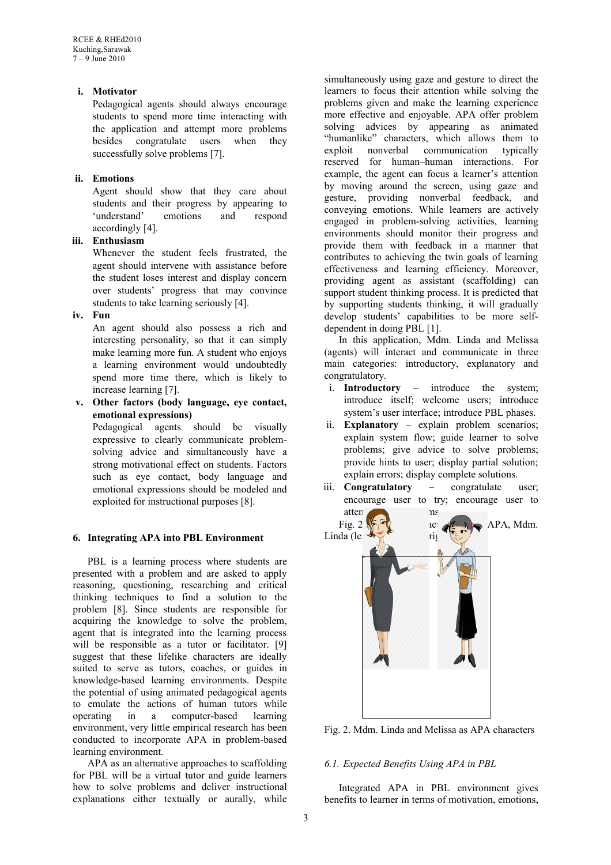## **i. Motivator**

Pedagogical agents should always encourage students to spend more time interacting with the application and attempt more problems besides congratulate users when they successfully solve problems [7].

# **ii. Emotions**

Agent should show that they care about students and their progress by appearing to 'understand' emotions and respond accordingly [4].

# **iii. Enthusiasm**

Whenever the student feels frustrated, the agent should intervene with assistance before the student loses interest and display concern over students' progress that may convince students to take learning seriously [4].

## **iv. Fun**

An agent should also possess a rich and interesting personality, so that it can simply make learning more fun. A student who enjoys a learning environment would undoubtedly spend more time there, which is likely to increase learning [7].

**v. Other factors (body language, eye contact, emotional expressions)**

Pedagogical agents should be visually expressive to clearly communicate problemsolving advice and simultaneously have a strong motivational effect on students. Factors such as eye contact, body language and emotional expressions should be modeled and exploited for instructional purposes [8].

# **6. Integrating APA into PBL Environment**

PBL is a learning process where students are presented with a problem and are asked to apply reasoning, questioning, researching and critical thinking techniques to find a solution to the problem [8]. Since students are responsible for acquiring the knowledge to solve the problem, agent that is integrated into the learning process will be responsible as a tutor or facilitator. [9] suggest that these lifelike characters are ideally suited to serve as tutors, coaches, or guides in knowledge-based learning environments. Despite the potential of using animated pedagogical agents to emulate the actions of human tutors while operating in a computer-based learning environment, very little empirical research has been conducted to incorporate APA in problem-based learning environment.

APA as an alternative approaches to scaffolding for PBL will be a virtual tutor and guide learners how to solve problems and deliver instructional explanations either textually or aurally, while

simultaneously using gaze and gesture to direct the learners to focus their attention while solving the problems given and make the learning experience more effective and enjoyable. APA offer problem solving advices by appearing as animated "humanlike" characters, which allows them to exploit nonverbal communication typically reserved for human–human interactions. For example, the agent can focus a learner's attention by moving around the screen, using gaze and gesture, providing nonverbal feedback, and conveying emotions. While learners are actively engaged in problem-solving activities, learning environments should monitor their progress and provide them with feedback in a manner that contributes to achieving the twin goals of learning effectiveness and learning efficiency. Moreover, providing agent as assistant (scaffolding) can support student thinking process. It is predicted that by supporting students thinking, it will gradually develop students' capabilities to be more selfdependent in doing PBL [1].

In this application, Mdm. Linda and Melissa (agents) will interact and communicate in three main categories: introductory, explanatory and congratulatory.

- i. **Introductory** introduce the system; introduce itself; welcome users; introduce system's user interface; introduce PBL phases.
- ii. **Explanatory** explain problem scenarios; explain system flow; guide learner to solve problems; give advice to solve problems; provide hints to user; display partial solution; explain errors; display complete solutions.
- iii. **Congratulatory** congratulate user; encourage user to try; encourage user to



Fig. 2. Mdm. Linda and Melissa as APA characters

# *6.1. Expected Benefits Using APA in PBL*

Integrated APA in PBL environment gives benefits to learner in terms of motivation, emotions,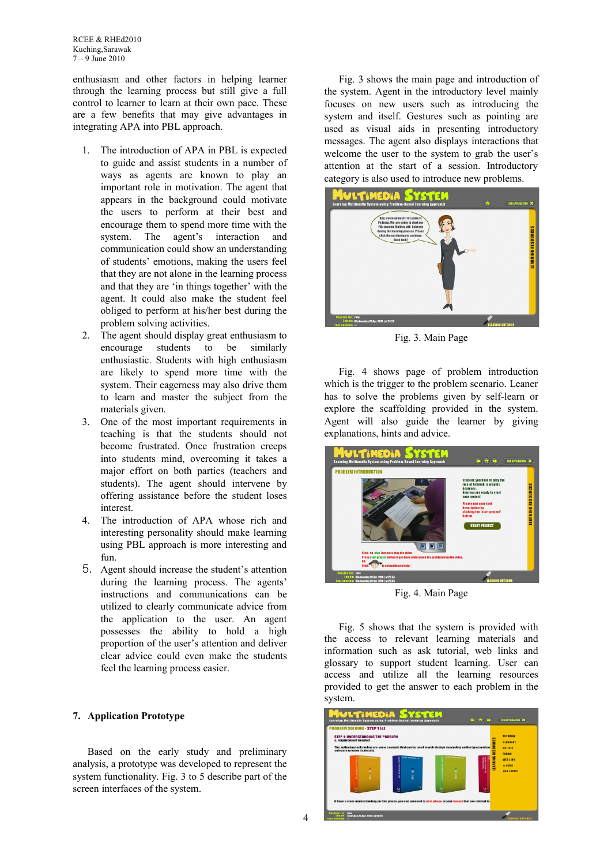RCEE & RHEd2010 Kuching,Sarawak 7 – 9 June 2010

enthusiasm and other factors in helping learner through the learning process but still give a full control to learner to learn at their own pace. These are a few benefits that may give advantages in integrating APA into PBL approach.

- 1. The introduction of APA in PBL is expected to guide and assist students in a number of ways as agents are known to play an important role in motivation. The agent that appears in the background could motivate the users to perform at their best and encourage them to spend more time with the system. The agent's interaction and communication could show an understanding of students' emotions, making the users feel that they are not alone in the learning process and that they are 'in things together' with the agent. It could also make the student feel obliged to perform at his/her best during the problem solving activities.
- 2. The agent should display great enthusiasm to encourage students to be similarly enthusiastic. Students with high enthusiasm are likely to spend more time with the system. Their eagerness may also drive them to learn and master the subject from the materials given.
- 3. One of the most important requirements in teaching is that the students should not become frustrated. Once frustration creeps into students mind, overcoming it takes a major effort on both parties (teachers and students). The agent should intervene by offering assistance before the student loses interest.
- 4. The introduction of APA whose rich and interesting personality should make learning using PBL approach is more interesting and fun.
- 5. Agent should increase the student's attention during the learning process. The agents' instructions and communications can be utilized to clearly communicate advice from the application to the user. An agent possesses the ability to hold a high proportion of the user's attention and deliver clear advice could even make the students feel the learning process easier.

## **7. Application Prototype**

Based on the early study and preliminary analysis, a prototype was developed to represent the system functionality. Fig. 3 to 5 describe part of the screen interfaces of the system.

Fig. 3 shows the main page and introduction of the system. Agent in the introductory level mainly focuses on new users such as introducing the system and itself. Gestures such as pointing are used as visual aids in presenting introductory messages. The agent also displays interactions that welcome the user to the system to grab the user's attention at the start of a session. Introductory category is also used to introduce new problems.



Fig. 3. Main Page

Fig. 4 shows page of problem introduction which is the trigger to the problem scenario. Leaner has to solve the problems given by self-learn or explore the scaffolding provided in the system. Agent will also guide the learner by giving explanations, hints and advice.



Fig. 4. Main Page

Fig. 5 shows that the system is provided with the access to relevant learning materials and information such as ask tutorial, web links and glossary to support student learning. User can access and utilize all the learning resources provided to get the answer to each problem in the system.